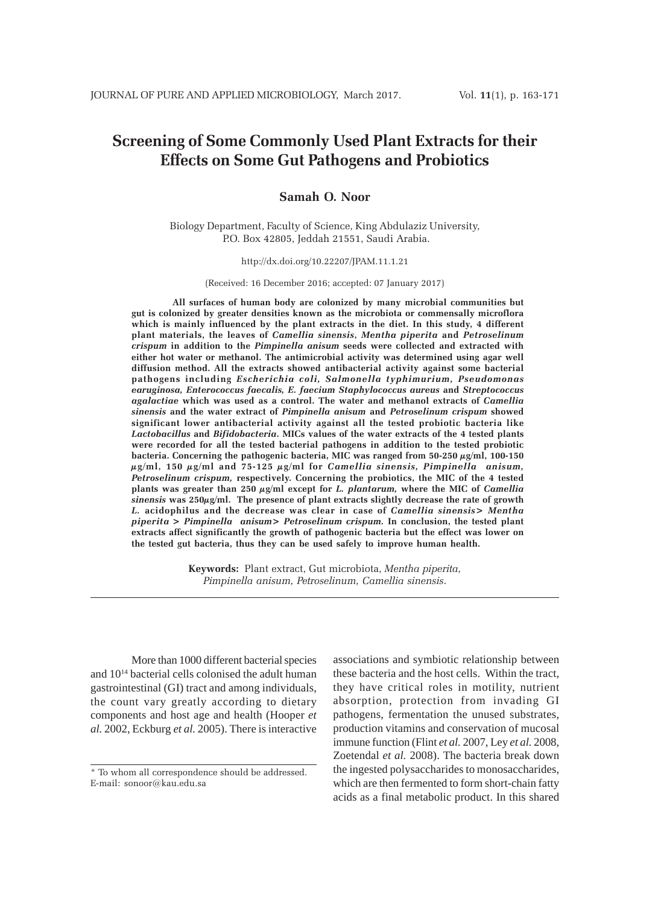# **Screening of Some Commonly Used Plant Extracts for their Effects on Some Gut Pathogens and Probiotics**

# **Samah O. Noor**

Biology Department, Faculty of Science, King Abdulaziz University, P.O. Box 42805, Jeddah 21551, Saudi Arabia.

http://dx.doi.org/10.22207/JPAM.11.1.21

(Received: 16 December 2016; accepted: 07 January 2017)

**All surfaces of human body are colonized by many microbial communities but gut is colonized by greater densities known as the microbiota or commensally microflora which is mainly influenced by the plant extracts in the diet. In this study, 4 different plant materials, the leaves of** *Camellia sinensis***,** *Mentha piperita* **and** *Petroselinum crispum* **in addition to the** *Pimpinella anisum* **seeds were collected and extracted with either hot water or methanol. The antimicrobial activity was determined using agar well diffusion method. All the extracts showed antibacterial activity against some bacterial pathogens including** *Escherichia coli, Salmonella typhimurium, Pseudomonas earuginosa, Enterococcus faecalis, E. faecium Staphylococcus aureus* **and** *Streptococcus agalactiae* **which was used as a control. The water and methanol extracts of** *Camellia sinensis* **and the water extract of** *Pimpinella anisum* **and** *Petroselinum crispum* **showed significant lower antibacterial activity against all the tested probiotic bacteria like** *Lactobacillus* **and** *Bifidobacteria***. MICs values of the water extracts of the 4 tested plants were recorded for all the tested bacterial pathogens in addition to the tested probiotic bacteria. Concerning the pathogenic bacteria, MIC was ranged from 50-250 µg/ml, 100-150 µg/ml, 150 µg/ml and 75-125 µg/ml for** *Camellia sinensis, Pimpinella anisum, Petroselinum crispum,* **respectively. Concerning the probiotics, the MIC of the 4 tested plants was greater than 250 µg/ml except for** *L. plantarum,* **where the MIC of** *Camellia sinensis* **was 250µg/ml. The presence of plant extracts slightly decrease the rate of growth** *L.* **acidophilus and the decrease was clear in case of** *Camellia sinensis> Mentha piperita > Pimpinella anisum> Petroselinum crispum.* **In conclusion, the tested plant extracts affect significantly the growth of pathogenic bacteria but the effect was lower on the tested gut bacteria, thus they can be used safely to improve human health.**

> **Keywords:** Plant extract, Gut microbiota, *Mentha piperita, Pimpinella anisum, Petroselinum, Camellia sinensis*.

More than 1000 different bacterial species and 1014 bacterial cells colonised the adult human gastrointestinal (GI) tract and among individuals, the count vary greatly according to dietary components and host age and health (Hooper *et al.* 2002, Eckburg *et al.* 2005). There is interactive

associations and symbiotic relationship between these bacteria and the host cells. Within the tract, they have critical roles in motility, nutrient absorption, protection from invading GI pathogens, fermentation the unused substrates, production vitamins and conservation of mucosal immune function (Flint *et al.* 2007, Ley *et al.* 2008, Zoetendal *et al.* 2008). The bacteria break down the ingested polysaccharides to monosaccharides, which are then fermented to form short-chain fatty acids as a final metabolic product. In this shared

<sup>\*</sup> To whom all correspondence should be addressed. E-mail: sonoor@kau.edu.sa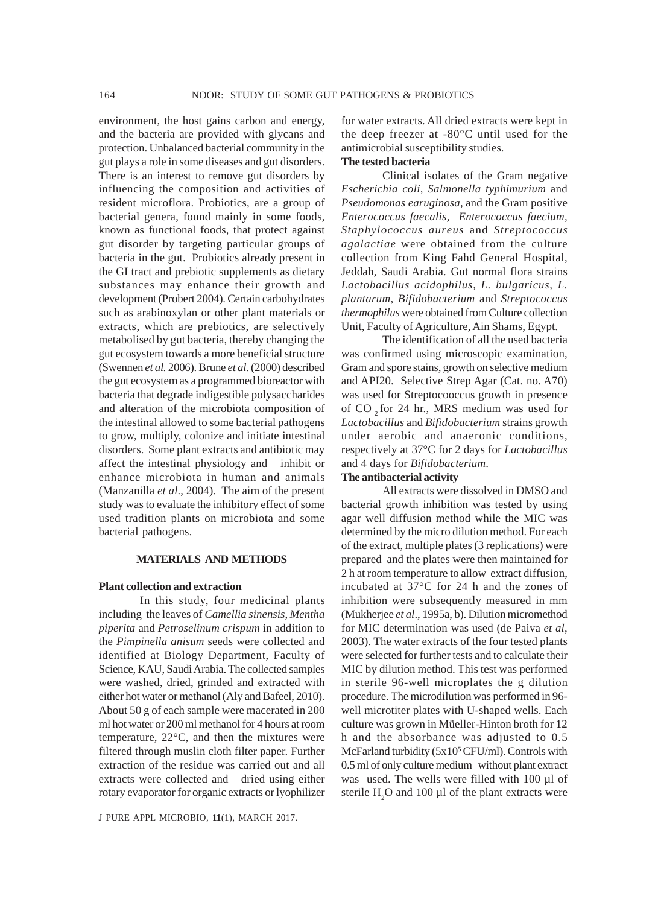environment, the host gains carbon and energy, and the bacteria are provided with glycans and protection. Unbalanced bacterial community in the gut plays a role in some diseases and gut disorders. There is an interest to remove gut disorders by influencing the composition and activities of resident microflora. Probiotics, are a group of bacterial genera, found mainly in some foods, known as functional foods, that protect against gut disorder by targeting particular groups of bacteria in the gut. Probiotics already present in the GI tract and prebiotic supplements as dietary substances may enhance their growth and development (Probert 2004). Certain carbohydrates such as arabinoxylan or other plant materials or extracts, which are prebiotics, are selectively metabolised by gut bacteria, thereby changing the gut ecosystem towards a more beneficial structure (Swennen *et al.* 2006). Brune *et al.* (2000) described the gut ecosystem as a programmed bioreactor with bacteria that degrade indigestible polysaccharides and alteration of the microbiota composition of the intestinal allowed to some bacterial pathogens to grow, multiply, colonize and initiate intestinal disorders. Some plant extracts and antibiotic may affect the intestinal physiology and inhibit or enhance microbiota in human and animals (Manzanilla *et al*., 2004). The aim of the present study was to evaluate the inhibitory effect of some used tradition plants on microbiota and some bacterial pathogens.

#### **MATERIALS AND METHODS**

#### **Plant collection and extraction**

In this study, four medicinal plants including the leaves of *Camellia sinensis*, *Mentha piperita* and *Petroselinum crispum* in addition to the *Pimpinella anisum* seeds were collected and identified at Biology Department, Faculty of Science, KAU, Saudi Arabia. The collected samples were washed, dried, grinded and extracted with either hot water or methanol (Aly and Bafeel, 2010). About 50 g of each sample were macerated in 200 ml hot water or 200 ml methanol for 4 hours at room temperature, 22°C, and then the mixtures were filtered through muslin cloth filter paper. Further extraction of the residue was carried out and all extracts were collected and dried using either rotary evaporator for organic extracts or lyophilizer

J PURE APPL MICROBIO*,* **11**(1), MARCH 2017.

for water extracts. All dried extracts were kept in the deep freezer at -80°C until used for the antimicrobial susceptibility studies.

## **The tested bacteria**

Clinical isolates of the Gram negative *Escherichia coli, Salmonella typhimurium* and *Pseudomonas earuginosa,* and the Gram positive *Enterococcus faecalis, Enterococcus faecium, Staphylococcus aureus* and *Streptococcus agalactiae* were obtained from the culture collection from King Fahd General Hospital, Jeddah, Saudi Arabia. Gut normal flora strains *Lactobacillus acidophilus, L. bulgaricus, L. plantarum, Bifidobacterium* and *Streptococcus thermophilus* were obtained from Culture collection Unit, Faculty of Agriculture, Ain Shams, Egypt.

The identification of all the used bacteria was confirmed using microscopic examination, Gram and spore stains, growth on selective medium and API20. Selective Strep Agar (Cat. no. A70) was used for Streptocooccus growth in presence of CO  $_{2}$  for 24 hr., MRS medium was used for *Lactobacillus* and *Bifidobacterium* strains growth under aerobic and anaeronic conditions, respectively at 37°C for 2 days for *Lactobacillus* and 4 days for *Bifidobacterium*.

#### **The antibacterial activity**

All extracts were dissolved in DMSO and bacterial growth inhibition was tested by using agar well diffusion method while the MIC was determined by the micro dilution method. For each of the extract, multiple plates (3 replications) were prepared and the plates were then maintained for 2 h at room temperature to allow extract diffusion, incubated at 37°C for 24 h and the zones of inhibition were subsequently measured in mm (Mukherjee *et al*., 1995a, b). Dilution micromethod for MIC determination was used (de Paiva *et al*, 2003). The water extracts of the four tested plants were selected for further tests and to calculate their MIC by dilution method. This test was performed in sterile 96-well microplates the g dilution procedure. The microdilution was performed in 96 well microtiter plates with U-shaped wells. Each culture was grown in Müeller-Hinton broth for 12 h and the absorbance was adjusted to 0.5 McFarland turbidity (5x10<sup>5</sup> CFU/ml). Controls with 0.5 ml of only culture medium without plant extract was used. The wells were filled with 100 µl of sterile  $H_2O$  and 100  $\mu$ l of the plant extracts were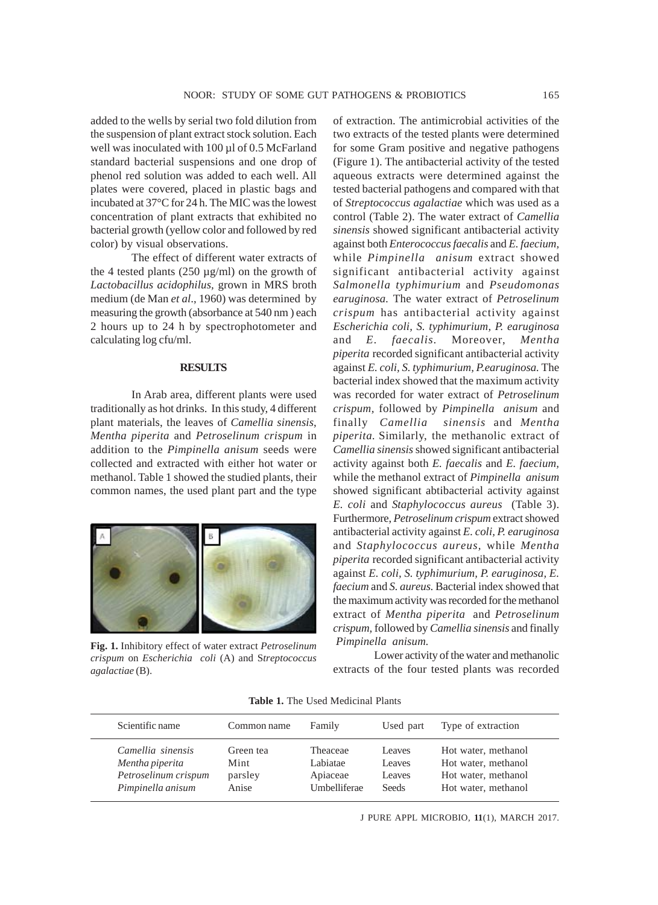added to the wells by serial two fold dilution from the suspension of plant extract stock solution. Each well was inoculated with 100 µl of 0.5 McFarland standard bacterial suspensions and one drop of phenol red solution was added to each well. All plates were covered, placed in plastic bags and incubated at 37°C for 24 h. The MIC was the lowest concentration of plant extracts that exhibited no bacterial growth (yellow color and followed by red color) by visual observations.

The effect of different water extracts of the 4 tested plants  $(250 \mu g/ml)$  on the growth of *Lactobacillus acidophilus,* grown in MRS broth medium (de Man *et al*., 1960) was determined by measuring the growth (absorbance at 540 nm ) each 2 hours up to 24 h by spectrophotometer and calculating log cfu/ml.

#### **RESULTS**

In Arab area, different plants were used traditionally as hot drinks. In this study, 4 different plant materials, the leaves of *Camellia sinensis*, *Mentha piperita* and *Petroselinum crispum* in addition to the *Pimpinella anisum* seeds were collected and extracted with either hot water or methanol. Table 1 showed the studied plants, their common names, the used plant part and the type



**Fig. 1.** Inhibitory effect of water extract *Petroselinum crispum* on *Escherichia coli* (A) and S*treptococcus agalactiae* (B).

of extraction. The antimicrobial activities of the two extracts of the tested plants were determined for some Gram positive and negative pathogens (Figure 1). The antibacterial activity of the tested aqueous extracts were determined against the tested bacterial pathogens and compared with that of *Streptococcus agalactiae* which was used as a control (Table 2). The water extract of *Camellia sinensis* showed significant antibacterial activity against both *Enterococcus faecalis* and *E. faecium,* while *Pimpinella anisum* extract showed significant antibacterial activity against *Salmonella typhimurium* and *Pseudomonas earuginosa.* The water extract of *Petroselinum crispum* has antibacterial activity against *Escherichia coli, S. typhimurium, P. earuginosa* and *E. faecalis.* Moreover, *Mentha piperita* recorded significant antibacterial activity against *E. coli, S. typhimurium, P.earuginosa.* The bacterial index showed that the maximum activity was recorded for water extract of *Petroselinum crispum,* followed by *Pimpinella anisum* and finally *Camellia sinensis* and *Mentha piperita.* Similarly, the methanolic extract of *Camellia sinensis* showed significant antibacterial activity against both *E. faecalis* and *E. faecium,* while the methanol extract of *Pimpinella anisum* showed significant abtibacterial activity against *E. coli* and *Staphylococcus aureus* (Table 3). Furthermore, *Petroselinum crispum* extract showed antibacterial activity against *E. coli, P. earuginosa* and *Staphylococcus aureus,* while *Mentha piperita* recorded significant antibacterial activity against *E. coli, S. typhimurium, P. earuginosa, E. faecium* and *S. aureus.* Bacterial index showed that the maximum activity was recorded for the methanol extract of *Mentha piperita* and *Petroselinum crispum,* followed by *Camellia sinensis* and finally  *Pimpinella anisum.* 

Lower activity of the water and methanolic extracts of the four tested plants was recorded

|  | <b>Table 1.</b> The Used Medicinal Plants |  |
|--|-------------------------------------------|--|
|  |                                           |  |

| Scientific name      | Common name | Family       | Used part    | Type of extraction  |
|----------------------|-------------|--------------|--------------|---------------------|
| Camellia sinensis    | Green tea   | Theaceae     | Leaves       | Hot water, methanol |
| Mentha piperita      | Mint        | Labiatae     | Leaves       | Hot water, methanol |
| Petroselinum crispum | parsley     | Apiaceae     | Leaves       | Hot water, methanol |
| Pimpinella anisum    | Anise       | Umbelliferae | <b>Seeds</b> | Hot water, methanol |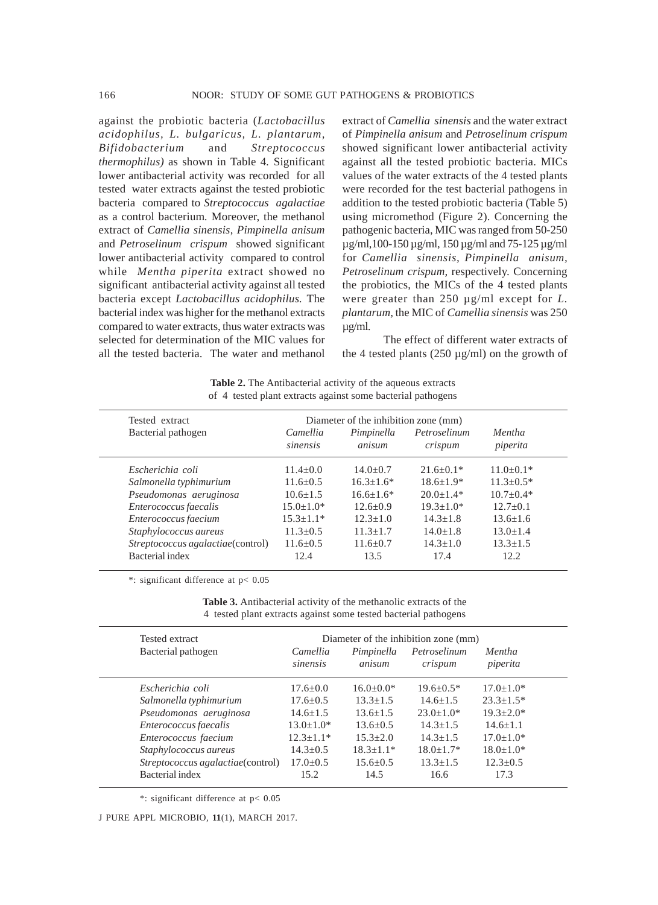against the probiotic bacteria (*Lactobacillus acidophilus, L. bulgaricus, L. plantarum, Bifidobacterium* and *Streptococcus thermophilus)* as shown in Table 4*.* Significant lower antibacterial activity was recorded for all tested water extracts against the tested probiotic bacteria compared to *Streptococcus agalactiae* as a control bacterium*.* Moreover, the methanol extract of *Camellia sinensis*, *Pimpinella anisum* and *Petroselinum crispum* showed significant lower antibacterial activity compared to control while *Mentha piperita* extract showed no significant antibacterial activity against all tested bacteria except *Lactobacillus acidophilus.* The bacterial index was higher for the methanol extracts compared to water extracts, thus water extracts was selected for determination of the MIC values for all the tested bacteria. The water and methanol extract of *Camellia sinensis* and the water extract of *Pimpinella anisum* and *Petroselinum crispum* showed significant lower antibacterial activity against all the tested probiotic bacteria. MICs values of the water extracts of the 4 tested plants were recorded for the test bacterial pathogens in addition to the tested probiotic bacteria (Table 5) using micromethod (Figure 2). Concerning the pathogenic bacteria, MIC was ranged from 50-250 µg/ml,100-150 µg/ml, 150 µg/ml and 75-125 µg/ml for *Camellia sinensis, Pimpinella anisum, Petroselinum crispum,* respectively. Concerning the probiotics, the MICs of the 4 tested plants were greater than 250 µg/ml except for *L. plantarum,* the MIC of *Camellia sinensis* was 250 µg/ml.

The effect of different water extracts of the 4 tested plants  $(250 \mu g/ml)$  on the growth of

**Table 2.** The Antibacterial activity of the aqueous extracts of 4 tested plant extracts against some bacterial pathogens

| Diameter of the inhibition zone (mm)<br>Tested extract |                      |                      |                         |                           |
|--------------------------------------------------------|----------------------|----------------------|-------------------------|---------------------------|
| Bacterial pathogen                                     | Camellia<br>sinensis | Pimpinella<br>anisum | Petroselinum<br>crispum | <i>Mentha</i><br>piperita |
| Escherichia coli                                       | $11.4 \pm 0.0$       | $14.0 + 0.7$         | $21.6 + 0.1*$           | $11.0\pm0.1*$             |
| Salmonella typhimurium                                 | $11.6 + 0.5$         | $16.3 + 1.6*$        | $18.6 + 1.9*$           | $11.3 + 0.5*$             |
| Pseudomonas aeruginosa                                 | $10.6 + 1.5$         | $16.6 + 1.6*$        | $20.0+1.4*$             | $10.7 + 0.4*$             |
| Enterococcus faecalis                                  | $15.0 + 1.0*$        | $12.6 + 0.9$         | $19.3 + 1.0*$           | $12.7+0.1$                |
| Enterococcus faecium                                   | $15.3 + 1.1*$        | $12.3 + 1.0$         | $14.3 + 1.8$            | $13.6 + 1.6$              |
| Staphylococcus aureus                                  | $11.3 + 0.5$         | $11.3 + 1.7$         | $14.0 + 1.8$            | $13.0 + 1.4$              |
| Streptococcus agalactiae(control)                      | $11.6 + 0.5$         | $11.6 + 0.7$         | $14.3 + 1.0$            | $13.3 + 1.5$              |
| Bacterial index                                        | 12.4                 | 13.5                 | 17.4                    | 12.2.                     |

\*: significant difference at p< 0.05

**Table 3.** Antibacterial activity of the methanolic extracts of the 4 tested plant extracts against some tested bacterial pathogens

| Tested extract                    |                      |                      | Diameter of the inhibition zone (mm) |                    |  |
|-----------------------------------|----------------------|----------------------|--------------------------------------|--------------------|--|
| Bacterial pathogen                | Camellia<br>sinensis | Pimpinella<br>anisum | Petroselinum<br>crispum              | Mentha<br>piperita |  |
| Escherichia coli                  | $17.6 \pm 0.0$       | $16.0 \pm 0.0*$      | $19.6 + 0.5*$                        | $17.0 + 1.0*$      |  |
| Salmonella typhimurium            | $17.6 \pm 0.5$       | $13.3 \pm 1.5$       | $14.6 + 1.5$                         | $23.3 \pm 1.5^*$   |  |
| Pseudomonas aeruginosa            | $14.6 + 1.5$         | $13.6 + 1.5$         | $23.0 + 1.0*$                        | $19.3 + 2.0*$      |  |
| Enterococcus faecalis             | $13.0 \pm 1.0*$      | $13.6 + 0.5$         | $14.3 + 1.5$                         | $14.6 + 1.1$       |  |
| Enterococcus faecium              | $12.3 + 1.1*$        | $15.3 + 2.0$         | $14.3 + 1.5$                         | $17.0 + 1.0*$      |  |
| Staphylococcus aureus             | $14.3 + 0.5$         | $18.3 + 1.1*$        | $18.0 + 1.7*$                        | $18.0 + 1.0*$      |  |
| Streptococcus agalactiae(control) | $17.0 + 0.5$         | $15.6 + 0.5$         | $13.3 + 1.5$                         | $12.3+0.5$         |  |
| Bacterial index                   | 15.2                 | 14.5                 | 16.6                                 | 17.3               |  |

\*: significant difference at p< 0.05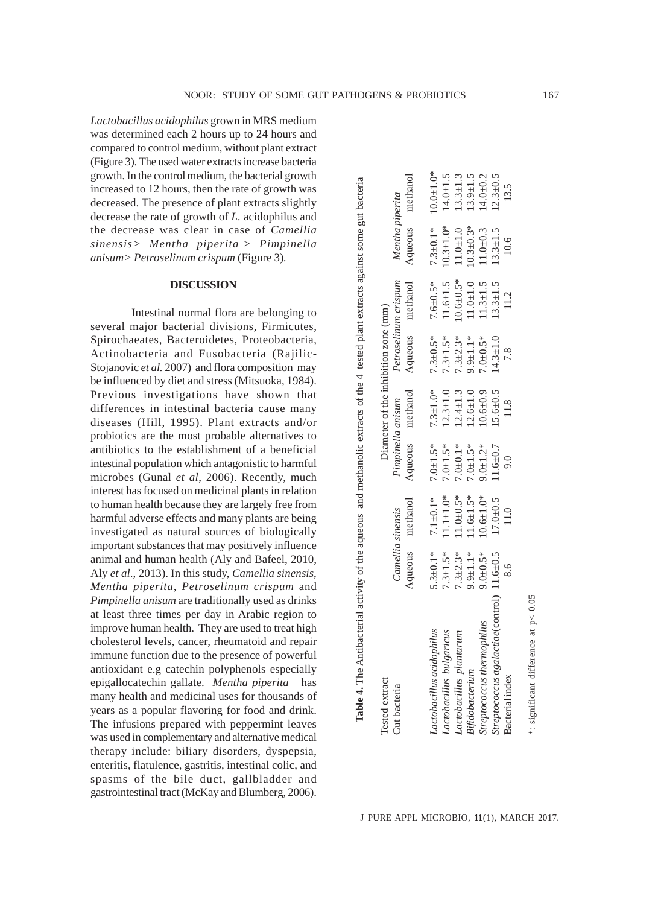*Lactobacillus acidophilus* grown in MRS medium was determined each 2 hours up to 24 hours and compared to control medium, without plant extract (Figure 3). The used water extracts increase bacteria growth. In the control medium, the bacterial growth increased to 12 hours, then the rate of growth was decreased. The presence of plant extracts slightly decrease the rate of growth of *L.* acidophilus and the decrease was clear in case of *Camellia sinensis> Mentha piperita > Pimpinella anisum> Petroselinum crispum* (Figure 3)*.*

### **DISCUSSION**

Intestinal normal flora are belonging to several major bacterial divisions, Firmicutes, Spirochaeates, Bacteroidetes, Proteobacteria, Actinobacteria and Fusobacteria (Rajilic-Stojanovic *et al.* 2007) and flora composition may be influenced by diet and stress (Mitsuoka, 1984). Previous investigations have shown that differences in intestinal bacteria cause many diseases (Hill, 1995). Plant extracts and/or probiotics are the most probable alternatives to antibiotics to the establishment of a beneficial intestinal population which antagonistic to harmful microbes (Gunal *et al*, 2006). Recently, much interest has focused on medicinal plants in relation to human health because they are largely free from harmful adverse effects and many plants are being investigated as natural sources of biologically important substances that may positively influence animal and human health (Aly and Bafeel, 2010, Aly *et al*., 2013). In this study, *Camellia sinensis*, *Mentha piperita, Petroselinum crispum* and *Pimpinella anisum* are traditionally used as drinks at least three times per day in Arabic region to improve human health. They are used to treat high cholesterol levels, cancer, rheumatoid and repair immune function due to the presence of powerful antioxidant e.g catechin polyphenols especially epigallocatechin gallate. *Mentha piperita* has many health and medicinal uses for thousands of years as a popular flavoring for food and drink. The infusions prepared with peppermint leaves was used in complementary and alternative medical therapy include: biliary disorders, dyspepsia, enteritis, flatulence, gastritis, intestinal colic, and spasms of the bile duct, gallbladder and gastrointestinal tract (McKay and Blumberg, 2006).

 $10.0 + 1.0*$ *Lactobacillus acidophilus* 5.3±0.1\* 7.1±0.1\* 7.0±1.5\* 7.3±1.0\* 7.3±0.5\* 7.6±0.5\* 7.3±0.1\* 10.0±1.0\*  $14.0 + 1.5$  $13.3 + 1.3$  $13.9 \pm 1.5$  $14.0 + 0.2$  $2.3 + 0.5$ gut bacteria methanol Aqueous methanol Aqueous methanol Aqueous methanol Aqueous methanol *Lactobacillus bulgaricus* 7.3±1.5\* 11.1±1.0\* 7.0±1.5\* 12.3±1.0 7.3±1.5\* 11.6±1.5 10.3±1.0\* 14.0±1.5 *Lactobacillus plantarum* 7.3±2.3\* 11.0±0.5\* 7.0±0.1\* 12.4±1.3 7.3±2.3\* 10.6±0.5\* 11.0±1.0 13.3±1.3 *Bifidobacterium* 9.9±1.1\* 11.6±1.5\* 7.0±1.5\* 12.6±1.0 9.9±1.1\* 11.0±1.0 10.3±0.3\* 13.9±1.5 *Streptococcus thermophilus* 9.0±0.5\* 10.6±1.0\* 9.0±1.2\* 10.6±0.9 7.0±0.5\* 11.3±1.5 11.0±0.3 14.0±0.2 *Streptococcus agalactiae*(control) 11.6±0.5 17.0±0.5 11.6±0.7 15.6±0.5 14.3±1.0 13.3±1.5 13.3±1.5 12.3±0.5 **Table 4.** The Antibacterial activity of the aqueous and methanolic extracts of the 4 tested plant extracts against some gut bacteria 13.5 Bacterial index 8.6 11.0 9.0 11.8 7.8 11.2 10.6 13.5 Mentha piperita Gut bacteria *Camellia sinensis Pimpinella anisum Petroselinum crispum Mentha piperita*  Aqueous  $10.3 \pm 1.0*$  $10.3 \pm 0.3*$ Table 4. The Antibacterial activity of the aqueous and methanolic extracts of the 4 tested plant extracts against some  $7.3 \pm 0.1*$  $11.0 + 1.0$  $11.0 + 0.3$  $13.3 + 1.5$  $10.6$ Petroselinum crispum  $10.6 \pm 0.5*$ methanol  $11.6 + 1.5$  $11.0 + 1.0$  $13.3 \pm 1.5$ 7.6 $\pm$ 0.5\*  $11.3 \pm 1.5$ 11.2 Diameter of the inhibition zone (mm) Tested extract **Diameter of the inhibition zone (mm)** Aqueous  $7.3 \pm 2.3*$  $9.9 \pm 1.1*$  $14.3 + 1.0$  $7.3 \pm 0.5*$  $7.3 \pm 1.5*$ 7.0 $\pm$ 0.5\* 7.8  $12.3 \pm 1.0$  $12.6 + 1.0$  $10.6 + 0.9$ methanol  $7.3 \pm 1.0*$  $12.4 \pm 1.3$  $15.6 \pm 0.5$ Pimpinella anisum 11.8 Aqueous  $7.0 + 1.5*$  $7.0 + 1.5*$  $7.0 \pm 0.1*$  $7.0 + 1.5*$  $9.0 + 1.2*$  $1.6 + 0.7$  $0.6$  $11.0 \pm 0.5*$  $11.6 \pm 1.5*$ methanol  $7.1 \pm 0.1*$  $11.1 \pm 1.0*$  $10.6 + 1.0*$  $17.0 + 0.5$  $11.0$ Camellia sinensis Aqueous  $5.3 \pm 0.1*$  $7.3 \pm 1.5*$  $7.3 \pm 2.3*$  $9.9 \pm 1.1*$  $9.0 \pm 0.5*$  $11.6 + 0.5$ 8.6 Streptococcus agalactiae(control) \*: significant difference at p< 0.05 \*: significant difference at p< 0.05Streptococcus thermophilus actobacillus acidophilus Lactobacillus bulgaricus Lactobacillus plantarum Bifidobacterium Bacterial index Tested extract Gut bacteria

NOOR: STUDY OF SOME GUT PATHOGENS & PROBIOTICS 167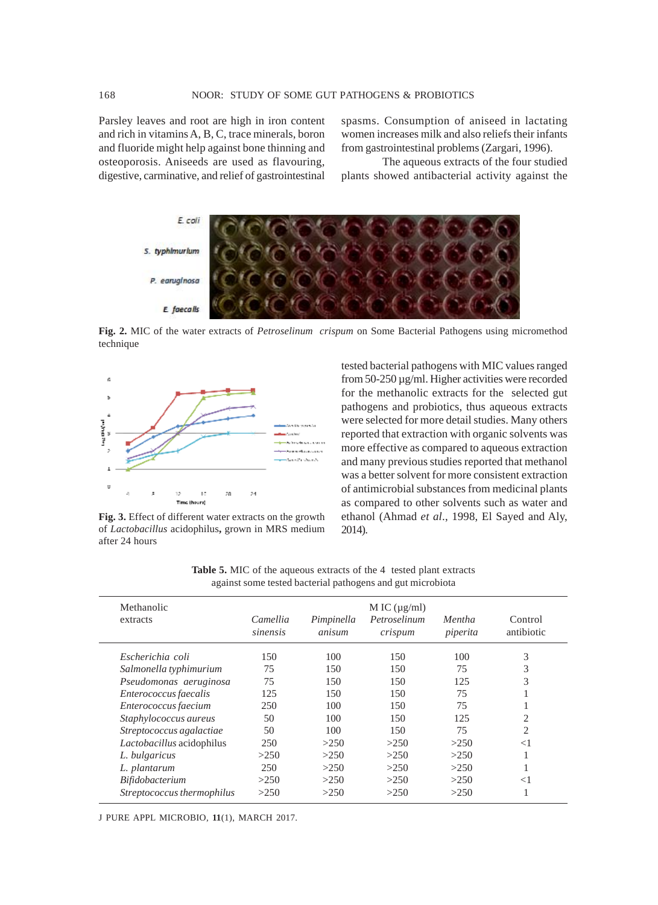Parsley leaves and root are high in iron content and rich in vitamins A, B, C, trace minerals, boron and fluoride might help against bone thinning and osteoporosis. Aniseeds are used as flavouring, digestive, carminative, and relief of gastrointestinal spasms. Consumption of aniseed in lactating women increases milk and also reliefs their infants from gastrointestinal problems (Zargari, 1996).

The aqueous extracts of the four studied plants showed antibacterial activity against the



**Fig. 2.** MIC of the water extracts of *Petroselinum crispum* on Some Bacterial Pathogens using micromethod technique



**Fig. 3.** Effect of different water extracts on the growth of *Lactobacillus* acidophilus**,** grown in MRS medium after 24 hours

tested bacterial pathogens with MIC values ranged from 50-250 µg/ml. Higher activities were recorded for the methanolic extracts for the selected gut pathogens and probiotics, thus aqueous extracts were selected for more detail studies. Many others reported that extraction with organic solvents was more effective as compared to aqueous extraction and many previous studies reported that methanol was a better solvent for more consistent extraction of antimicrobial substances from medicinal plants as compared to other solvents such as water and ethanol (Ahmad *et al*., 1998, El Sayed and Aly, 2014).

Methanolic  $M IC(\mu g/ml)$ extracts *Camellia Pimpinella Petroselinum Mentha* Control *sinensis anisum crispum piperita* antibiotic *Escherichia coli* 150 100 150 100 3 *Salmonella typhimurium* 75 150 150 75 3 *Pseudomonas aeruginosa* 75 150 150 125 3 *Enterococcus faecalis* 125 150 150 75 1 *Enterococcus faecium* 250 100 150 75 1 *Staphylococcus aureus* 50 100 150 125 2 *Streptococcus agalactiae* 50 100 150 75 2 *Lactobacillus* acidophilus 250 >250 >250 >250 <1 *L. bulgaricus*  $>250$   $>250$   $>250$   $>250$  1 *L. plantarum* 250 >250 >250 >250 1 *Bifidobacterium* >250 >250 >250 >250 <1 *Streptococcus thermophilus* >250 >250 >250 >250 1

**Table 5.** MIC of the aqueous extracts of the 4 tested plant extracts against some tested bacterial pathogens and gut microbiota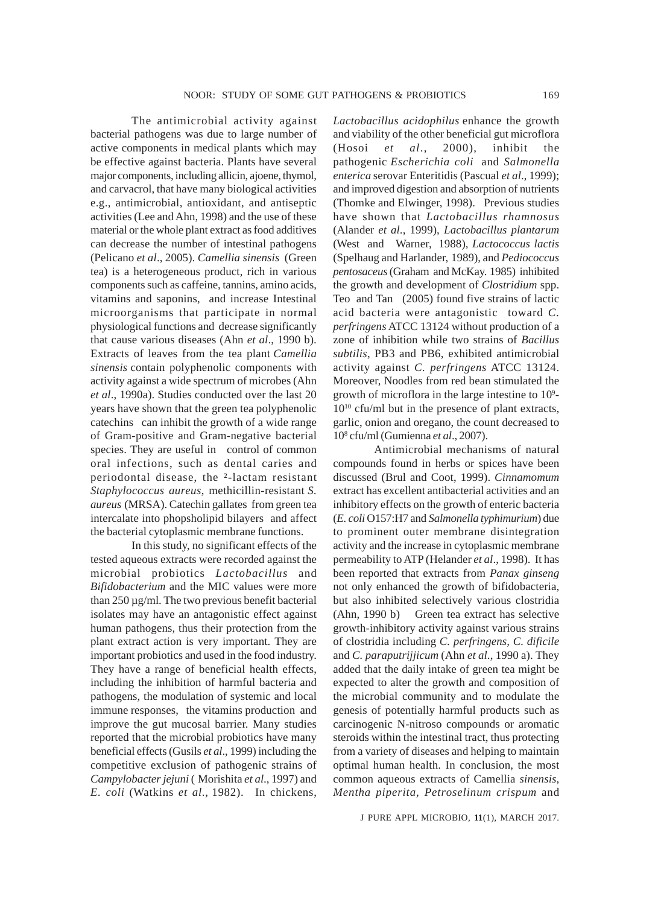The antimicrobial activity against bacterial pathogens was due to large number of active components in medical plants which may be effective against bacteria. Plants have several major components, including allicin, ajoene, thymol, and carvacrol, that have many biological activities e.g., antimicrobial, antioxidant, and antiseptic activities (Lee and Ahn, 1998) and the use of these material or the whole plant extract as food additives can decrease the number of intestinal pathogens (Pelicano *et al*., 2005). *Camellia sinensis* (Green tea) is a heterogeneous product, rich in various components such as caffeine, tannins, amino acids, vitamins and saponins, and increase Intestinal microorganisms that participate in normal physiological functions and decrease significantly that cause various diseases (Ahn *et al*., 1990 b). Extracts of leaves from the tea plant *Camellia sinensis* contain polyphenolic components with activity against a wide spectrum of microbes (Ahn *et al*., 1990a). Studies conducted over the last 20 years have shown that the green tea polyphenolic catechins can inhibit the growth of a wide range of Gram-positive and Gram-negative bacterial species. They are useful in control of common oral infections, such as dental caries and periodontal disease, the ²-lactam resistant *Staphylococcus aureus*, methicillin-resistant *S. aureus* (MRSA). Catechin gallates from green tea intercalate into phopsholipid bilayers and affect the bacterial cytoplasmic membrane functions.

In this study, no significant effects of the tested aqueous extracts were recorded against the microbial probiotics *Lactobacillus* and *Bifidobacterium* and the MIC values were more than 250 µg/ml. The two previous benefit bacterial isolates may have an antagonistic effect against human pathogens, thus their protection from the plant extract action is very important. They are important probiotics and used in the food industry. They have a range of beneficial health effects, including the inhibition of harmful bacteria and pathogens, the modulation of systemic and local immune responses, the vitamins production and improve the gut mucosal barrier. Many studies reported that the microbial probiotics have many beneficial effects (Gusils *et al*., 1999) including the competitive exclusion of pathogenic strains of *Campylobacter jejuni* ( Morishita *et al*., 1997) and *E. coli* (Watkins *et al*., 1982). In chickens,

*Lactobacillus acidophilus* enhance the growth and viability of the other beneficial gut microflora (Hosoi *et al*., 2000), inhibit the pathogenic *Escherichia coli* and *Salmonella enterica* serovar Enteritidis (Pascual *et al*., 1999); and improved digestion and absorption of nutrients (Thomke and Elwinger, 1998). Previous studies have shown that *Lactobacillus rhamnosus* (Alander *et al*., 1999), *Lactobacillus plantarum* (West and Warner, 1988), *Lactococcus lactis* (Spelhaug and Harlander, 1989), and *Pediococcus pentosaceus* (Graham and McKay. 1985) inhibited the growth and development of *Clostridium* spp. Teo and Tan (2005) found five strains of lactic acid bacteria were antagonistic toward *C. perfringens* ATCC 13124 without production of a zone of inhibition while two strains of *Bacillus subtilis*, PB3 and PB6, exhibited antimicrobial activity against *C. perfringens* ATCC 13124. Moreover, Noodles from red bean stimulated the growth of microflora in the large intestine to  $10^9$ -1010 cfu/ml but in the presence of plant extracts, garlic, onion and oregano, the count decreased to 108 cfu/ml (Gumienna *et al*., 2007).

Antimicrobial mechanisms of natural compounds found in herbs or spices have been discussed (Brul and Coot, 1999). *Cinnamomum* extract has excellent antibacterial activities and an inhibitory effects on the growth of enteric bacteria (*E. coli* O157:H7 and *Salmonella typhimurium*) due to prominent outer membrane disintegration activity and the increase in cytoplasmic membrane permeability to ATP (Helander *et al*., 1998). It has been reported that extracts from *Panax ginseng* not only enhanced the growth of bifidobacteria, but also inhibited selectively various clostridia (Ahn, 1990 b) Green tea extract has selective growth-inhibitory activity against various strains of clostridia including *C. perfringens, C. dificile* and *C. paraputrijjicum* (Ahn *et al*., 1990 a). They added that the daily intake of green tea might be expected to alter the growth and composition of the microbial community and to modulate the genesis of potentially harmful products such as carcinogenic N-nitroso compounds or aromatic steroids within the intestinal tract, thus protecting from a variety of diseases and helping to maintain optimal human health. In conclusion, the most common aqueous extracts of Camellia *sinensis*, *Mentha piperita, Petroselinum crispum* and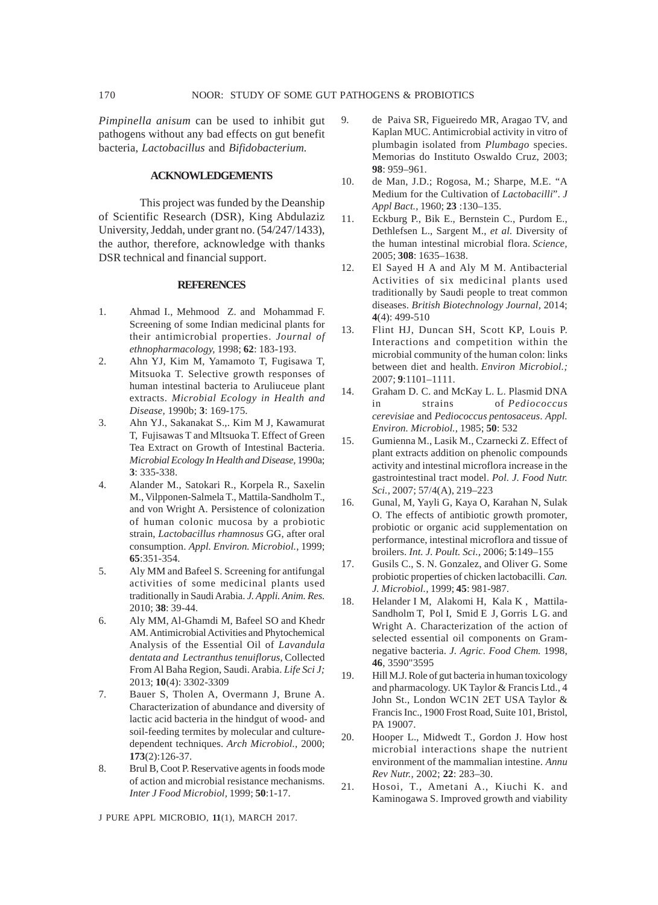*Pimpinella anisum* can be used to inhibit gut pathogens without any bad effects on gut benefit bacteria, *Lactobacillus* and *Bifidobacterium.*

# **ACKNOWLEDGEMENTS**

This project was funded by the Deanship of Scientific Research (DSR), King Abdulaziz University, Jeddah, under grant no. (54/247/1433), the author, therefore, acknowledge with thanks DSR technical and financial support.

#### **REFERENCES**

- 1. Ahmad I., Mehmood Z. and Mohammad F. Screening of some Indian medicinal plants for their antimicrobial properties. *Journal of ethnopharmacology,* 1998; **62**: 183-193.
- 2. Ahn YJ, Kim M, Yamamoto T, Fugisawa T, Mitsuoka T. Selective growth responses of human intestinal bacteria to Aruliuceue plant extracts. *Microbial Ecology in Health and Disease,* 1990b; **3**: 169-175.
- 3. Ahn YJ., Sakanakat S.,. Kim M J, Kawamurat T, Fujisawas T and Mltsuoka T. Effect of Green Tea Extract on Growth of Intestinal Bacteria. *Microbial Ecology In Health and Disease,* 1990a; **3**: 335-338.
- 4. Alander M., Satokari R., Korpela R., Saxelin M., Vilpponen-Salmela T., Mattila-Sandholm T., and von Wright A. Persistence of colonization of human colonic mucosa by a probiotic strain, *Lactobacillus rhamnosus* GG, after oral consumption. *Appl. Environ. Microbiol.,* 1999; **65**:351-354.
- 5. Aly MM and Bafeel S. Screening for antifungal activities of some medicinal plants used traditionally in Saudi Arabia. *J. Appli. Anim. Res.* 2010; **38**: 39-44.
- 6. Aly MM, Al-Ghamdi M, Bafeel SO and Khedr AM. Antimicrobial Activities and Phytochemical Analysis of the Essential Oil of *Lavandula dentata and Lectranthus tenuiflorus*, Collected From Al Baha Region, Saudi. Arabia. *Life Sci J;* 2013; **10**(4): 3302-3309
- 7. Bauer S, Tholen A, Overmann J, Brune A. Characterization of abundance and diversity of lactic acid bacteria in the hindgut of wood- and soil-feeding termites by molecular and culturedependent techniques. *Arch Microbiol.,* 2000; **173**(2):126-37.
- 8. Brul B, Coot P. Reservative agents in foods mode of action and microbial resistance mechanisms. *Inter J Food Microbiol,* 1999; **50**:1-17.

9. de Paiva SR, Figueiredo MR, Aragao TV, and Kaplan MUC. Antimicrobial activity in vitro of plumbagin isolated from *Plumbago* species. Memorias do Instituto Oswaldo Cruz, 2003; **98**: 959–961.

- 10. de Man, J.D.; Rogosa, M.; Sharpe, M.E. "A Medium for the Cultivation of *Lactobacilli*". *J Appl Bact.,* 1960; **23** :130–135.
- 11. Eckburg P., Bik E., Bernstein C., Purdom E., Dethlefsen L., Sargent M., *et al*. Diversity of the human intestinal microbial flora. *Science,* 2005; **308**: 1635–1638.
- 12. El Sayed H A and Aly M M. Antibacterial Activities of six medicinal plants used traditionally by Saudi people to treat common diseases. *British Biotechnology Journal,* 2014; **4**(4): 499-510
- 13. Flint HJ, Duncan SH, Scott KP, Louis P. Interactions and competition within the microbial community of the human colon: links between diet and health. *Environ Microbiol.;* 2007; **9**:1101–1111.
- 14. Graham D. C. and McKay L. L. Plasmid DNA in strains of *Pediococcus cerevisiae* and *Pediococcus pentosaceus*. *Appl. Environ. Microbiol.,* 1985; **50**: 532
- 15. Gumienna M., Lasik M., Czarnecki Z. Effect of plant extracts addition on phenolic compounds activity and intestinal microflora increase in the gastrointestinal tract model. *Pol. J. Food Nutr. Sci.,* 2007; 57/4(A), 219–223
- 16. Gunal, M, Yayli G, Kaya O, Karahan N, Sulak O. The effects of antibiotic growth promoter, probiotic or organic acid supplementation on performance, intestinal microflora and tissue of broilers. *Int. J. Poult. Sci.,* 2006; **5**:149–155
- 17. Gusils C., S. N. Gonzalez, and Oliver G. Some probiotic properties of chicken lactobacilli. *Can. J. Microbiol.,* 1999; **45**: 981-987.
- 18. Helander I M, Alakomi H, Kala K , Mattila-Sandholm T, Pol I, Smid E J, Gorris L G. and Wright A. Characterization of the action of selected essential oil components on Gramnegative bacteria. *J. Agric. Food Chem.* 1998, **46**, 3590"3595
- 19. Hill M.J. Role of gut bacteria in human toxicology and pharmacology. UK Taylor & Francis Ltd., 4 John St., London WC1N 2ET USA Taylor & Francis Inc., 1900 Frost Road, Suite 101, Bristol, PA 19007.
- 20. Hooper L., Midwedt T., Gordon J. How host microbial interactions shape the nutrient environment of the mammalian intestine. *Annu Rev Nutr.,* 2002; **22**: 283–30.
- 21. Hosoi, T., Ametani A., Kiuchi K. and Kaminogawa S. Improved growth and viability